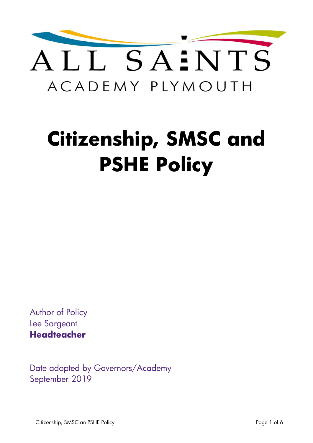

# **Citizenship, SMSC and PSHE Policy**

Author of Policy Lee Sargeant **Headteacher** 

Date adopted by Governors/Academy September 2019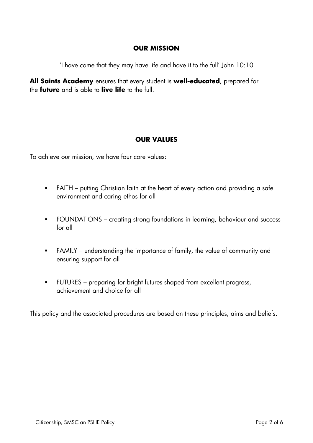#### **OUR MISSION**

'I have come that they may have life and have it to the full' John 10:10

**All Saints Academy** ensures that every student is **well-educated**, prepared for the **future** and is able to **live life** to the full.

#### **OUR VALUES**

To achieve our mission, we have four core values:

- FAITH putting Christian faith at the heart of every action and providing a safe environment and caring ethos for all
- FOUNDATIONS creating strong foundations in learning, behaviour and success for all
- FAMILY understanding the importance of family, the value of community and ensuring support for all
- FUTURES preparing for bright futures shaped from excellent progress, achievement and choice for all

This policy and the associated procedures are based on these principles, aims and beliefs.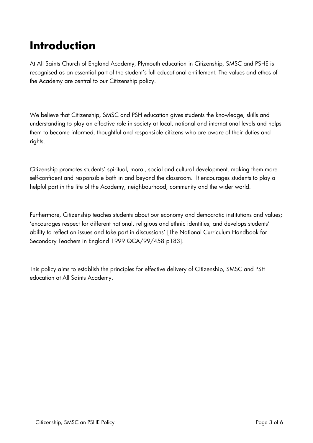# **Introduction**

At All Saints Church of England Academy, Plymouth education in Citizenship, SMSC and PSHE is recognised as an essential part of the student's full educational entitlement. The values and ethos of the Academy are central to our Citizenship policy.

We believe that Citizenship, SMSC and PSH education gives students the knowledge, skills and understanding to play an effective role in society at local, national and international levels and helps them to become informed, thoughtful and responsible citizens who are aware of their duties and rights.

Citizenship promotes students' spiritual, moral, social and cultural development, making them more self-confident and responsible both in and beyond the classroom. It encourages students to play a helpful part in the life of the Academy, neighbourhood, community and the wider world.

Furthermore, Citizenship teaches students about our economy and democratic institutions and values; 'encourages respect for different national, religious and ethnic identities; and develops students' ability to reflect on issues and take part in discussions' [The National Curriculum Handbook for Secondary Teachers in England 1999 QCA/99/458 p183].

This policy aims to establish the principles for effective delivery of Citizenship, SMSC and PSH education at All Saints Academy.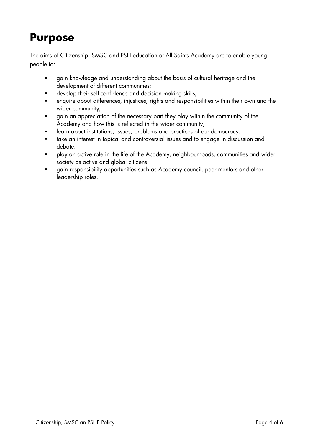# **Purpose**

The aims of Citizenship, SMSC and PSH education at All Saints Academy are to enable young people to:

- gain knowledge and understanding about the basis of cultural heritage and the development of different communities;
- develop their self-confidence and decision making skills;
- enquire about differences, injustices, rights and responsibilities within their own and the wider community;
- gain an appreciation of the necessary part they play within the community of the Academy and how this is reflected in the wider community;
- learn about institutions, issues, problems and practices of our democracy.
- take an interest in topical and controversial issues and to engage in discussion and debate.
- play an active role in the life of the Academy, neighbourhoods, communities and wider society as active and global citizens.
- gain responsibility opportunities such as Academy council, peer mentors and other leadership roles.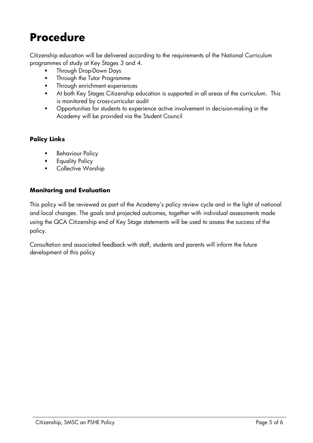# **Procedure**

Citizenship education will be delivered according to the requirements of the National Curriculum programmes of study at Key Stages 3 and 4.

- Through Drop-Down Days
- **Fall Through the Tutor Programme**
- Through enrichment experiences
- At both Key Stages Citizenship education is supported in all areas of the curriculum. This is monitored by cross-curricular audit
- **•** Opportunities for students to experience active involvement in decision-making in the Academy will be provided via the Student Council

#### **Policy Links**

- Behaviour Policy
- Equality Policy
- Collective Worship

#### **Monitoring and Evaluation**

This policy will be reviewed as part of the Academy's policy review cycle and in the light of national and local changes. The goals and projected outcomes, together with individual assessments made using the QCA Citizenship end of Key Stage statements will be used to assess the success of the policy.

Consultation and associated feedback with staff, students and parents will inform the future development of this policy